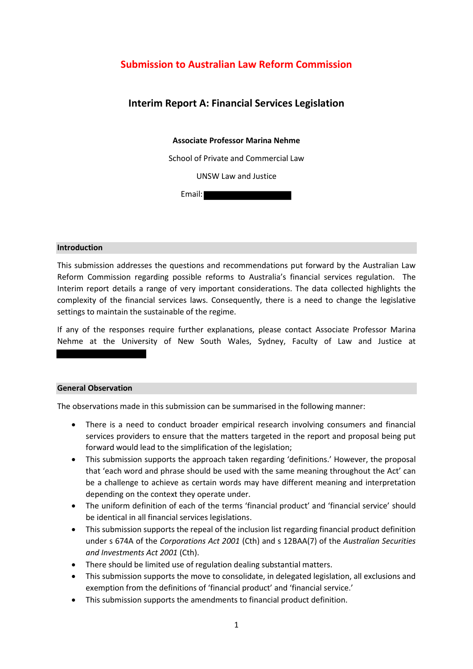# **Submission to Australian Law Reform Commission**

# **Interim Report A: Financial Services Legislation**

## **Associate Professor Marina Nehme**

School of Private and Commercial Law

UNSW Law and Justice

Email:

#### **Introduction**

This submission addresses the questions and recommendations put forward by the Australian Law Reform Commission regarding possible reforms to Australia's financial services regulation. The Interim report details a range of very important considerations. The data collected highlights the complexity of the financial services laws. Consequently, there is a need to change the legislative settings to maintain the sustainable of the regime.

If any of the responses require further explanations, please contact Associate Professor Marina Nehme at the University of New South Wales, Sydney, Faculty of Law and Justice at

#### **General Observation**

The observations made in this submission can be summarised in the following manner:

- There is a need to conduct broader empirical research involving consumers and financial services providers to ensure that the matters targeted in the report and proposal being put forward would lead to the simplification of the legislation;
- This submission supports the approach taken regarding 'definitions.' However, the proposal that 'each word and phrase should be used with the same meaning throughout the Act' can be a challenge to achieve as certain words may have different meaning and interpretation depending on the context they operate under.
- The uniform definition of each of the terms 'financial product' and 'financial service' should be identical in all financial services legislations.
- This submission supports the repeal of the inclusion list regarding financial product definition under s 674A of the *Corporations Act 2001* (Cth) and s 12BAA(7) of the *Australian Securities and Investments Act 2001* (Cth).
- There should be limited use of regulation dealing substantial matters.
- This submission supports the move to consolidate, in delegated legislation, all exclusions and exemption from the definitions of 'financial product' and 'financial service.'
- This submission supports the amendments to financial product definition.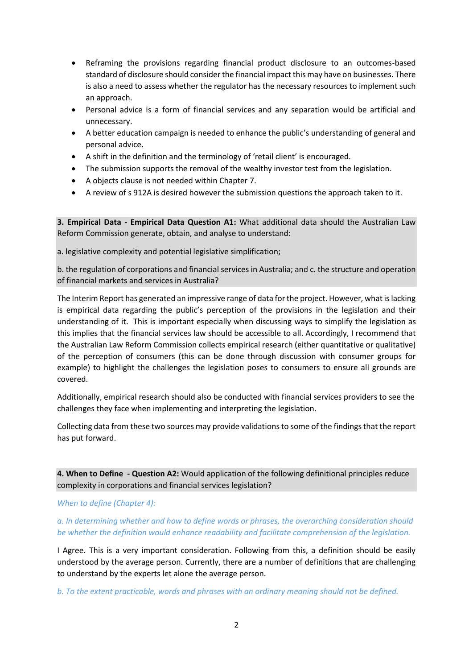- Reframing the provisions regarding financial product disclosure to an outcomes-based standard of disclosure should consider the financial impact this may have on businesses. There is also a need to assess whether the regulator has the necessary resources to implement such an approach.
- Personal advice is a form of financial services and any separation would be artificial and unnecessary.
- A better education campaign is needed to enhance the public's understanding of general and personal advice.
- A shift in the definition and the terminology of 'retail client' is encouraged.
- The submission supports the removal of the wealthy investor test from the legislation.
- A objects clause is not needed within Chapter 7.
- A review of s 912A is desired however the submission questions the approach taken to it.

**3. Empirical Data - Empirical Data Question A1:** What additional data should the Australian Law Reform Commission generate, obtain, and analyse to understand:

a. legislative complexity and potential legislative simplification;

b. the regulation of corporations and financial services in Australia; and c. the structure and operation of financial markets and services in Australia?

The Interim Report has generated an impressive range of data for the project. However, what is lacking is empirical data regarding the public's perception of the provisions in the legislation and their understanding of it. This is important especially when discussing ways to simplify the legislation as this implies that the financial services law should be accessible to all. Accordingly, I recommend that the Australian Law Reform Commission collects empirical research (either quantitative or qualitative) of the perception of consumers (this can be done through discussion with consumer groups for example) to highlight the challenges the legislation poses to consumers to ensure all grounds are covered.

Additionally, empirical research should also be conducted with financial services providers to see the challenges they face when implementing and interpreting the legislation.

Collecting data from these two sources may provide validations to some of the findings that the report has put forward.

**4. When to Define - Question A2:** Would application of the following definitional principles reduce complexity in corporations and financial services legislation?

### *When to define (Chapter 4):*

*a. In determining whether and how to define words or phrases, the overarching consideration should be whether the definition would enhance readability and facilitate comprehension of the legislation.* 

I Agree. This is a very important consideration. Following from this, a definition should be easily understood by the average person. Currently, there are a number of definitions that are challenging to understand by the experts let alone the average person.

*b. To the extent practicable, words and phrases with an ordinary meaning should not be defined.*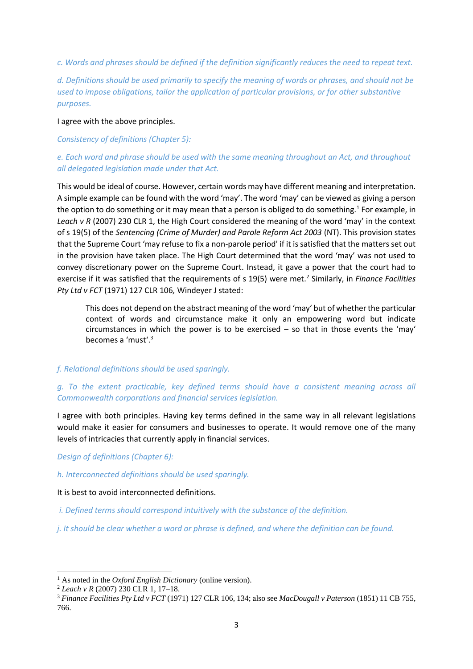*c. Words and phrases should be defined if the definition significantly reduces the need to repeat text.*

*d. Definitions should be used primarily to specify the meaning of words or phrases, and should not be used to impose obligations, tailor the application of particular provisions, or for other substantive purposes.* 

### I agree with the above principles.

## *Consistency of definitions (Chapter 5):*

# *e. Each word and phrase should be used with the same meaning throughout an Act, and throughout all delegated legislation made under that Act.*

This would be ideal of course. However, certain words may have different meaning and interpretation. A simple example can be found with the word 'may'. The word 'may' can be viewed as giving a person the option to do something or it may mean that a person is obliged to do something.<sup>1</sup> For example, in *Leach v R* (2007) 230 CLR 1, the High Court considered the meaning of the word 'may' in the context of s 19(5) of the *Sentencing (Crime of Murder) and Parole Reform Act 2003* (NT). This provision states that the Supreme Court 'may refuse to fix a non-parole period' if it is satisfied that the matters set out in the provision have taken place. The High Court determined that the word 'may' was not used to convey discretionary power on the Supreme Court. Instead, it gave a power that the court had to exercise if it was satisfied that the requirements of s 19(5) were met.<sup>2</sup> Similarly, in *Finance Facilities Pty Ltd v FCT* (1971) 127 CLR 106*,* Windeyer J stated:

This does not depend on the abstract meaning of the word 'may' but of whether the particular context of words and circumstance make it only an empowering word but indicate circumstances in which the power is to be exercised – so that in those events the 'may' becomes a 'must'.<sup>3</sup>

## *f. Relational definitions should be used sparingly.*

## *g. To the extent practicable, key defined terms should have a consistent meaning across all Commonwealth corporations and financial services legislation.*

I agree with both principles. Having key terms defined in the same way in all relevant legislations would make it easier for consumers and businesses to operate. It would remove one of the many levels of intricacies that currently apply in financial services.

*Design of definitions (Chapter 6):* 

### *h. Interconnected definitions should be used sparingly.*

### It is best to avoid interconnected definitions.

*i. Defined terms should correspond intuitively with the substance of the definition.* 

*j. It should be clear whether a word or phrase is defined, and where the definition can be found.*

<sup>&</sup>lt;sup>1</sup> As noted in the *Oxford English Dictionary* (online version).

<sup>2</sup> *Leach v R* (2007) 230 CLR 1, 17–18.

<sup>3</sup> *Finance Facilities Pty Ltd v FCT* (1971) 127 CLR 106, 134; also see *MacDougall v Paterson* (1851) 11 CB 755, 766.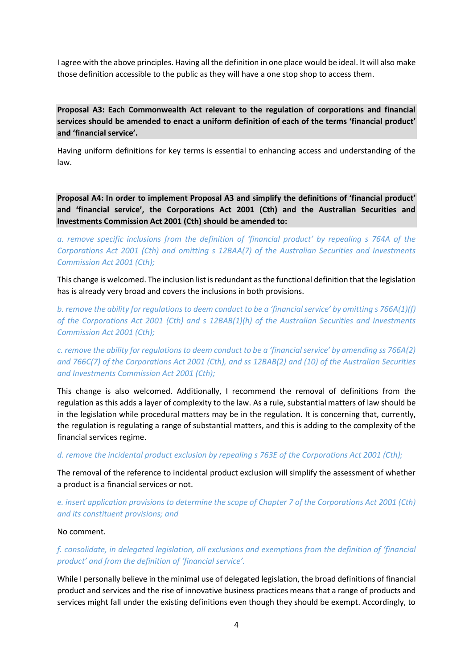I agree with the above principles. Having all the definition in one place would be ideal. It will also make those definition accessible to the public as they will have a one stop shop to access them.

**Proposal A3: Each Commonwealth Act relevant to the regulation of corporations and financial services should be amended to enact a uniform definition of each of the terms 'financial product' and 'financial service'.**

Having uniform definitions for key terms is essential to enhancing access and understanding of the law.

**Proposal A4: In order to implement Proposal A3 and simplify the definitions of 'financial product' and 'financial service', the Corporations Act 2001 (Cth) and the Australian Securities and Investments Commission Act 2001 (Cth) should be amended to:** 

*a. remove specific inclusions from the definition of 'financial product' by repealing s 764A of the Corporations Act 2001 (Cth) and omitting s 12BAA(7) of the Australian Securities and Investments Commission Act 2001 (Cth);* 

This change is welcomed. The inclusion list is redundant as the functional definition that the legislation has is already very broad and covers the inclusions in both provisions.

*b. remove the ability for regulations to deem conduct to be a 'financial service' by omitting s 766A(1)(f) of the Corporations Act 2001 (Cth) and s 12BAB(1)(h) of the Australian Securities and Investments Commission Act 2001 (Cth);* 

*c. remove the ability for regulations to deem conduct to be a 'financial service' by amending ss 766A(2) and 766C(7) of the Corporations Act 2001 (Cth), and ss 12BAB(2) and (10) of the Australian Securities and Investments Commission Act 2001 (Cth);* 

This change is also welcomed. Additionally, I recommend the removal of definitions from the regulation as this adds a layer of complexity to the law. As a rule, substantial matters of law should be in the legislation while procedural matters may be in the regulation. It is concerning that, currently, the regulation is regulating a range of substantial matters, and this is adding to the complexity of the financial services regime.

*d. remove the incidental product exclusion by repealing s 763E of the Corporations Act 2001 (Cth);* 

The removal of the reference to incidental product exclusion will simplify the assessment of whether a product is a financial services or not.

*e. insert application provisions to determine the scope of Chapter 7 of the Corporations Act 2001 (Cth) and its constituent provisions; and* 

No comment.

*f. consolidate, in delegated legislation, all exclusions and exemptions from the definition of 'financial product' and from the definition of 'financial service'.*

While I personally believe in the minimal use of delegated legislation, the broad definitions of financial product and services and the rise of innovative business practices means that a range of products and services might fall under the existing definitions even though they should be exempt. Accordingly, to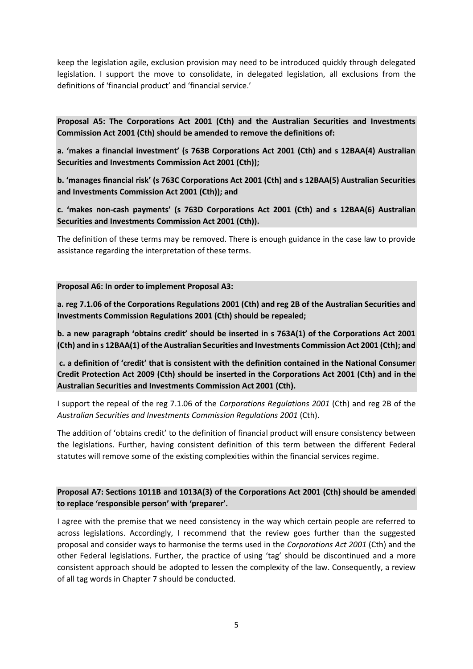keep the legislation agile, exclusion provision may need to be introduced quickly through delegated legislation. I support the move to consolidate, in delegated legislation, all exclusions from the definitions of 'financial product' and 'financial service.'

**Proposal A5: The Corporations Act 2001 (Cth) and the Australian Securities and Investments Commission Act 2001 (Cth) should be amended to remove the definitions of:** 

**a. 'makes a financial investment' (s 763B Corporations Act 2001 (Cth) and s 12BAA(4) Australian Securities and Investments Commission Act 2001 (Cth));** 

**b. 'manages financial risk' (s 763C Corporations Act 2001 (Cth) and s 12BAA(5) Australian Securities and Investments Commission Act 2001 (Cth)); and** 

**c. 'makes non-cash payments' (s 763D Corporations Act 2001 (Cth) and s 12BAA(6) Australian Securities and Investments Commission Act 2001 (Cth)).**

The definition of these terms may be removed. There is enough guidance in the case law to provide assistance regarding the interpretation of these terms.

#### **Proposal A6: In order to implement Proposal A3:**

**a. reg 7.1.06 of the Corporations Regulations 2001 (Cth) and reg 2B of the Australian Securities and Investments Commission Regulations 2001 (Cth) should be repealed;** 

**b. a new paragraph 'obtains credit' should be inserted in s 763A(1) of the Corporations Act 2001 (Cth) and in s 12BAA(1) of the Australian Securities and Investments Commission Act 2001 (Cth); and**

**c. a definition of 'credit' that is consistent with the definition contained in the National Consumer Credit Protection Act 2009 (Cth) should be inserted in the Corporations Act 2001 (Cth) and in the Australian Securities and Investments Commission Act 2001 (Cth).**

I support the repeal of the reg 7.1.06 of the *Corporations Regulations 2001* (Cth) and reg 2B of the *Australian Securities and Investments Commission Regulations 2001* (Cth).

The addition of 'obtains credit' to the definition of financial product will ensure consistency between the legislations. Further, having consistent definition of this term between the different Federal statutes will remove some of the existing complexities within the financial services regime.

**Proposal A7: Sections 1011B and 1013A(3) of the Corporations Act 2001 (Cth) should be amended to replace 'responsible person' with 'preparer'.** 

I agree with the premise that we need consistency in the way which certain people are referred to across legislations. Accordingly, I recommend that the review goes further than the suggested proposal and consider ways to harmonise the terms used in the *Corporations Act 2001* (Cth) and the other Federal legislations. Further, the practice of using 'tag' should be discontinued and a more consistent approach should be adopted to lessen the complexity of the law. Consequently, a review of all tag words in Chapter 7 should be conducted.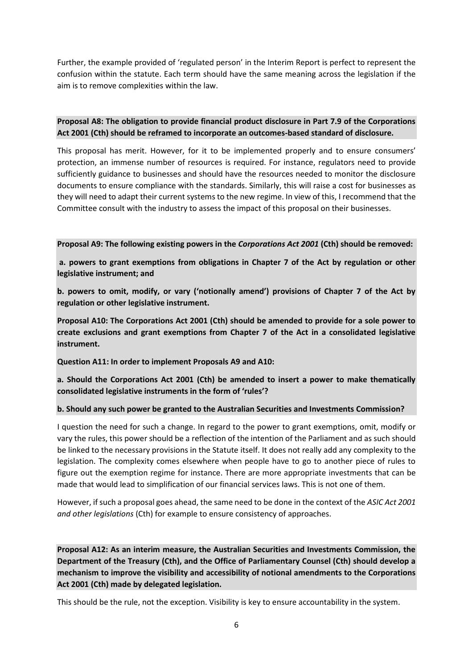Further, the example provided of 'regulated person' in the Interim Report is perfect to represent the confusion within the statute. Each term should have the same meaning across the legislation if the aim is to remove complexities within the law.

# **Proposal A8: The obligation to provide financial product disclosure in Part 7.9 of the Corporations Act 2001 (Cth) should be reframed to incorporate an outcomes-based standard of disclosure.**

This proposal has merit. However, for it to be implemented properly and to ensure consumers' protection, an immense number of resources is required. For instance, regulators need to provide sufficiently guidance to businesses and should have the resources needed to monitor the disclosure documents to ensure compliance with the standards. Similarly, this will raise a cost for businesses as they will need to adapt their current systems to the new regime. In view of this, I recommend that the Committee consult with the industry to assess the impact of this proposal on their businesses.

### **Proposal A9: The following existing powers in the** *Corporations Act 2001* **(Cth) should be removed:**

**a. powers to grant exemptions from obligations in Chapter 7 of the Act by regulation or other legislative instrument; and** 

**b. powers to omit, modify, or vary ('notionally amend') provisions of Chapter 7 of the Act by regulation or other legislative instrument.** 

**Proposal A10: The Corporations Act 2001 (Cth) should be amended to provide for a sole power to create exclusions and grant exemptions from Chapter 7 of the Act in a consolidated legislative instrument.** 

**Question A11: In order to implement Proposals A9 and A10:** 

**a. Should the Corporations Act 2001 (Cth) be amended to insert a power to make thematically consolidated legislative instruments in the form of 'rules'?** 

## **b. Should any such power be granted to the Australian Securities and Investments Commission?**

I question the need for such a change. In regard to the power to grant exemptions, omit, modify or vary the rules, this power should be a reflection of the intention of the Parliament and as such should be linked to the necessary provisions in the Statute itself. It does not really add any complexity to the legislation. The complexity comes elsewhere when people have to go to another piece of rules to figure out the exemption regime for instance. There are more appropriate investments that can be made that would lead to simplification of our financial services laws. This is not one of them.

However, if such a proposal goes ahead, the same need to be done in the context of the *ASIC Act 2001 and other legislations* (Cth) for example to ensure consistency of approaches.

**Proposal A12: As an interim measure, the Australian Securities and Investments Commission, the Department of the Treasury (Cth), and the Office of Parliamentary Counsel (Cth) should develop a mechanism to improve the visibility and accessibility of notional amendments to the Corporations Act 2001 (Cth) made by delegated legislation.**

This should be the rule, not the exception. Visibility is key to ensure accountability in the system.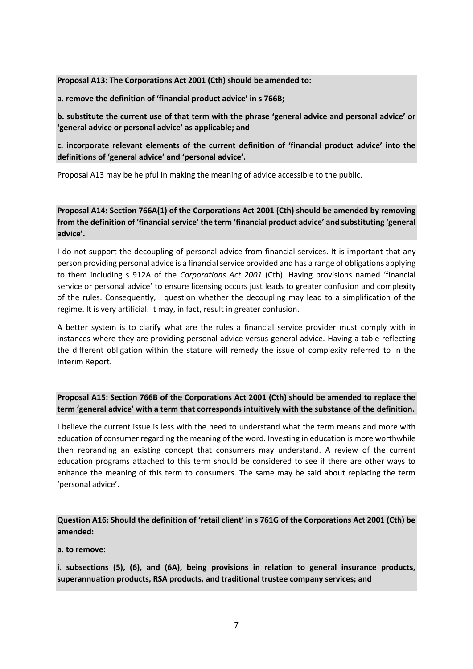#### **Proposal A13: The Corporations Act 2001 (Cth) should be amended to:**

**a. remove the definition of 'financial product advice' in s 766B;** 

**b. substitute the current use of that term with the phrase 'general advice and personal advice' or 'general advice or personal advice' as applicable; and** 

**c. incorporate relevant elements of the current definition of 'financial product advice' into the definitions of 'general advice' and 'personal advice'.** 

Proposal A13 may be helpful in making the meaning of advice accessible to the public.

**Proposal A14: Section 766A(1) of the Corporations Act 2001 (Cth) should be amended by removing from the definition of 'financial service' the term 'financial product advice' and substituting 'general advice'.** 

I do not support the decoupling of personal advice from financial services. It is important that any person providing personal advice is a financial service provided and has a range of obligations applying to them including s 912A of the *Corporations Act 2001* (Cth). Having provisions named 'financial service or personal advice' to ensure licensing occurs just leads to greater confusion and complexity of the rules. Consequently, I question whether the decoupling may lead to a simplification of the regime. It is very artificial. It may, in fact, result in greater confusion.

A better system is to clarify what are the rules a financial service provider must comply with in instances where they are providing personal advice versus general advice. Having a table reflecting the different obligation within the stature will remedy the issue of complexity referred to in the Interim Report.

**Proposal A15: Section 766B of the Corporations Act 2001 (Cth) should be amended to replace the term 'general advice' with a term that corresponds intuitively with the substance of the definition.**

I believe the current issue is less with the need to understand what the term means and more with education of consumer regarding the meaning of the word. Investing in education is more worthwhile then rebranding an existing concept that consumers may understand. A review of the current education programs attached to this term should be considered to see if there are other ways to enhance the meaning of this term to consumers. The same may be said about replacing the term 'personal advice'.

**Question A16: Should the definition of 'retail client' in s 761G of the Corporations Act 2001 (Cth) be amended:**

**a. to remove:** 

**i. subsections (5), (6), and (6A), being provisions in relation to general insurance products, superannuation products, RSA products, and traditional trustee company services; and**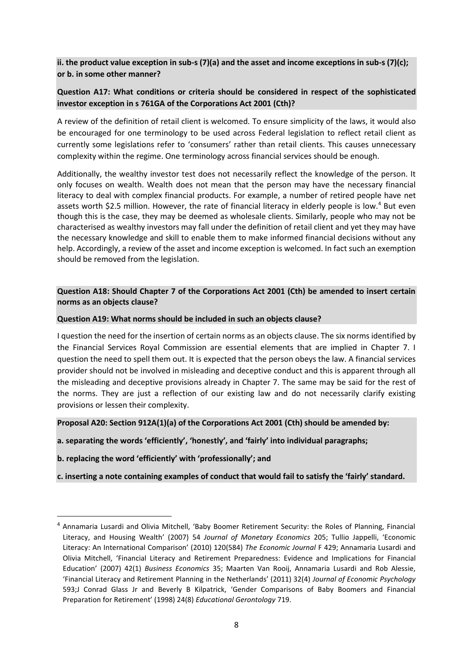**ii. the product value exception in sub-s (7)(a) and the asset and income exceptions in sub-s (7)(c); or b. in some other manner?** 

# **Question A17: What conditions or criteria should be considered in respect of the sophisticated investor exception in s 761GA of the Corporations Act 2001 (Cth)?**

A review of the definition of retail client is welcomed. To ensure simplicity of the laws, it would also be encouraged for one terminology to be used across Federal legislation to reflect retail client as currently some legislations refer to 'consumers' rather than retail clients. This causes unnecessary complexity within the regime. One terminology across financial services should be enough.

Additionally, the wealthy investor test does not necessarily reflect the knowledge of the person. It only focuses on wealth. Wealth does not mean that the person may have the necessary financial literacy to deal with complex financial products. For example, a number of retired people have net assets worth \$2.5 million. However, the rate of financial literacy in elderly people is low.<sup>4</sup> But even though this is the case, they may be deemed as wholesale clients. Similarly, people who may not be characterised as wealthy investors may fall under the definition of retail client and yet they may have the necessary knowledge and skill to enable them to make informed financial decisions without any help. Accordingly, a review of the asset and income exception is welcomed. In fact such an exemption should be removed from the legislation.

## **Question A18: Should Chapter 7 of the Corporations Act 2001 (Cth) be amended to insert certain norms as an objects clause?**

### **Question A19: What norms should be included in such an objects clause?**

I question the need for the insertion of certain norms as an objects clause. The six norms identified by the Financial Services Royal Commission are essential elements that are implied in Chapter 7. I question the need to spell them out. It is expected that the person obeys the law. A financial services provider should not be involved in misleading and deceptive conduct and this is apparent through all the misleading and deceptive provisions already in Chapter 7. The same may be said for the rest of the norms. They are just a reflection of our existing law and do not necessarily clarify existing provisions or lessen their complexity.

**Proposal A20: Section 912A(1)(a) of the Corporations Act 2001 (Cth) should be amended by:** 

**a. separating the words 'efficiently', 'honestly', and 'fairly' into individual paragraphs;** 

**b. replacing the word 'efficiently' with 'professionally'; and** 

**c. inserting a note containing examples of conduct that would fail to satisfy the 'fairly' standard.** 

<sup>4</sup> Annamaria Lusardi and Olivia Mitchell, 'Baby Boomer Retirement Security: the Roles of Planning, Financial Literacy, and Housing Wealth' (2007) 54 *Journal of Monetary Economics* 205; Tullio Jappelli, 'Economic Literacy: An International Comparison' (2010) 120(584) *The Economic Journal* F 429; Annamaria Lusardi and Olivia Mitchell, 'Financial Literacy and Retirement Preparedness: Evidence and Implications for Financial Education' (2007) 42(1) *Business Economics* 35; Maarten Van Rooij, Annamaria Lusardi and Rob Alessie, 'Financial Literacy and Retirement Planning in the Netherlands' (2011) 32(4) *Journal of Economic Psychology*  593;J Conrad Glass Jr and Beverly B Kilpatrick, 'Gender Comparisons of Baby Boomers and Financial Preparation for Retirement' (1998) 24(8) *Educational Gerontology* 719.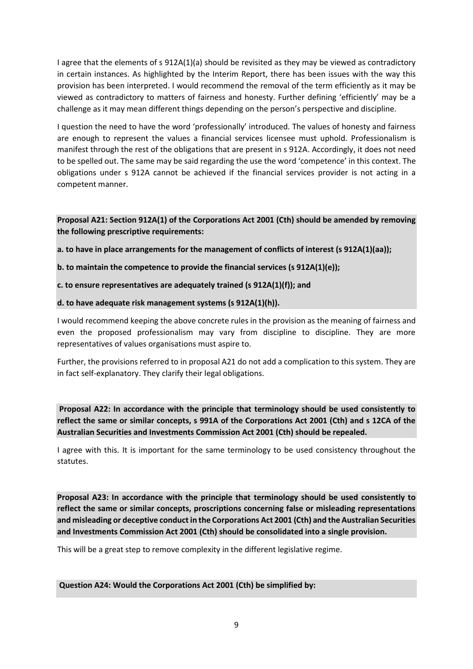I agree that the elements of s 912A(1)(a) should be revisited as they may be viewed as contradictory in certain instances. As highlighted by the Interim Report, there has been issues with the way this provision has been interpreted. I would recommend the removal of the term efficiently as it may be viewed as contradictory to matters of fairness and honesty. Further defining 'efficiently' may be a challenge as it may mean different things depending on the person's perspective and discipline.

I question the need to have the word 'professionally' introduced. The values of honesty and fairness are enough to represent the values a financial services licensee must uphold. Professionalism is manifest through the rest of the obligations that are present in s 912A. Accordingly, it does not need to be spelled out. The same may be said regarding the use the word 'competence' in this context. The obligations under s 912A cannot be achieved if the financial services provider is not acting in a competent manner.

**Proposal A21: Section 912A(1) of the Corporations Act 2001 (Cth) should be amended by removing the following prescriptive requirements:** 

**a. to have in place arrangements for the management of conflicts of interest (s 912A(1)(aa));** 

**b. to maintain the competence to provide the financial services (s 912A(1)(e));** 

**c. to ensure representatives are adequately trained (s 912A(1)(f)); and** 

### **d. to have adequate risk management systems (s 912A(1)(h)).**

I would recommend keeping the above concrete rules in the provision as the meaning of fairness and even the proposed professionalism may vary from discipline to discipline. They are more representatives of values organisations must aspire to.

Further, the provisions referred to in proposal A21 do not add a complication to this system. They are in fact self-explanatory. They clarify their legal obligations.

**Proposal A22: In accordance with the principle that terminology should be used consistently to reflect the same or similar concepts, s 991A of the Corporations Act 2001 (Cth) and s 12CA of the Australian Securities and Investments Commission Act 2001 (Cth) should be repealed.** 

I agree with this. It is important for the same terminology to be used consistency throughout the statutes.

**Proposal A23: In accordance with the principle that terminology should be used consistently to reflect the same or similar concepts, proscriptions concerning false or misleading representations and misleading or deceptive conduct in the Corporations Act 2001 (Cth) and the Australian Securities and Investments Commission Act 2001 (Cth) should be consolidated into a single provision.**

This will be a great step to remove complexity in the different legislative regime.

**Question A24: Would the Corporations Act 2001 (Cth) be simplified by:**